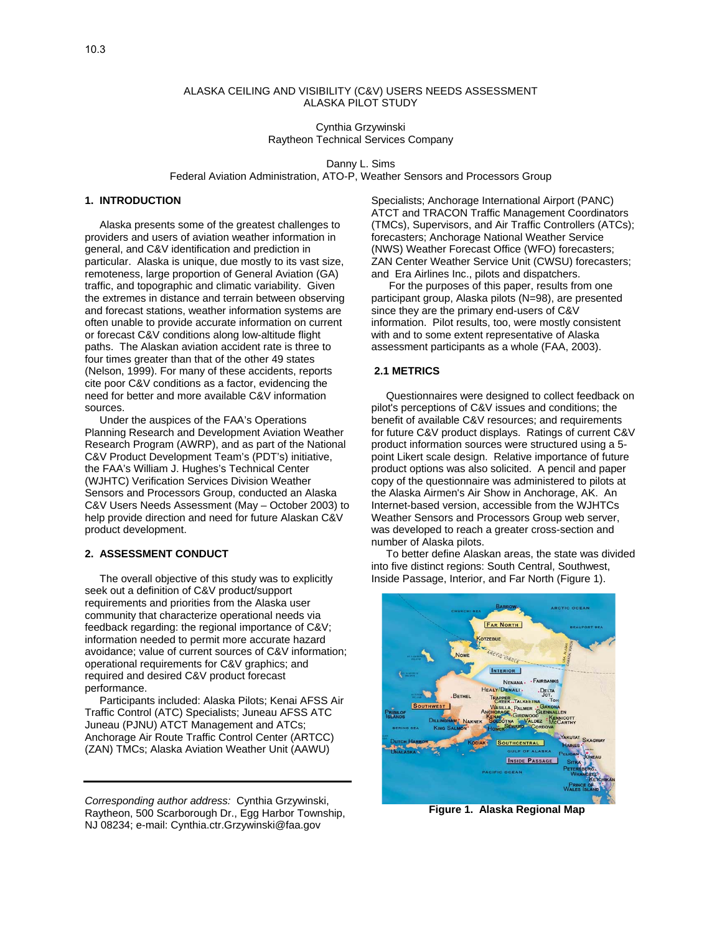### ALASKA CEILING AND VISIBILITY (C&V) USERS NEEDS ASSESSMENT ALASKA PILOT STUDY

Cynthia Grzywinski Raytheon Technical Services Company

Danny L. Sims

Federal Aviation Administration, ATO-P, Weather Sensors and Processors Group

# **1. INTRODUCTION**

 Alaska presents some of the greatest challenges to providers and users of aviation weather information in general, and C&V identification and prediction in particular. Alaska is unique, due mostly to its vast size, remoteness, large proportion of General Aviation (GA) traffic, and topographic and climatic variability. Given the extremes in distance and terrain between observing and forecast stations, weather information systems are often unable to provide accurate information on current or forecast C&V conditions along low-altitude flight paths. The Alaskan aviation accident rate is three to four times greater than that of the other 49 states (Nelson, 1999). For many of these accidents, reports cite poor C&V conditions as a factor, evidencing the need for better and more available C&V information sources.

 Under the auspices of the FAA's Operations Planning Research and Development Aviation Weather Research Program (AWRP), and as part of the National C&V Product Development Team's (PDT's) initiative, the FAA's William J. Hughes's Technical Center (WJHTC) Verification Services Division Weather Sensors and Processors Group, conducted an Alaska C&V Users Needs Assessment (May – October 2003) to help provide direction and need for future Alaskan C&V product development.

### **2. ASSESSMENT CONDUCT**

 The overall objective of this study was to explicitly seek out a definition of C&V product/support requirements and priorities from the Alaska user community that characterize operational needs via feedback regarding: the regional importance of C&V; information needed to permit more accurate hazard avoidance; value of current sources of C&V information; operational requirements for C&V graphics; and required and desired C&V product forecast performance.

 Participants included: Alaska Pilots; Kenai AFSS Air Traffic Control (ATC) Specialists; Juneau AFSS ATC Juneau (PJNU) ATCT Management and ATCs; Anchorage Air Route Traffic Control Center (ARTCC) (ZAN) TMCs; Alaska Aviation Weather Unit (AAWU)

*Corresponding author address:* Cynthia Grzywinski, Raytheon, 500 Scarborough Dr., Egg Harbor Township, NJ 08234; e-mail: Cynthia.ctr.Grzywinski@faa.gov

Specialists; Anchorage International Airport (PANC) ATCT and TRACON Traffic Management Coordinators (TMCs), Supervisors, and Air Traffic Controllers (ATCs); forecasters; Anchorage National Weather Service (NWS) Weather Forecast Office (WFO) forecasters; ZAN Center Weather Service Unit (CWSU) forecasters; and Era Airlines Inc., pilots and dispatchers.

 For the purposes of this paper, results from one participant group, Alaska pilots (N=98), are presented since they are the primary end-users of C&V information. Pilot results, too, were mostly consistent with and to some extent representative of Alaska assessment participants as a whole (FAA, 2003).

# **2.1 METRICS**

 Questionnaires were designed to collect feedback on pilot's perceptions of C&V issues and conditions; the benefit of available C&V resources; and requirements for future C&V product displays. Ratings of current C&V product information sources were structured using a 5 point Likert scale design. Relative importance of future product options was also solicited. A pencil and paper copy of the questionnaire was administered to pilots at the Alaska Airmen's Air Show in Anchorage, AK. An Internet-based version, accessible from the WJHTCs Weather Sensors and Processors Group web server, was developed to reach a greater cross-section and number of Alaska pilots.

 To better define Alaskan areas, the state was divided into five distinct regions: South Central, Southwest, Inside Passage, Interior, and Far North (Figure 1).



 **Figure 1. Alaska Regional Map**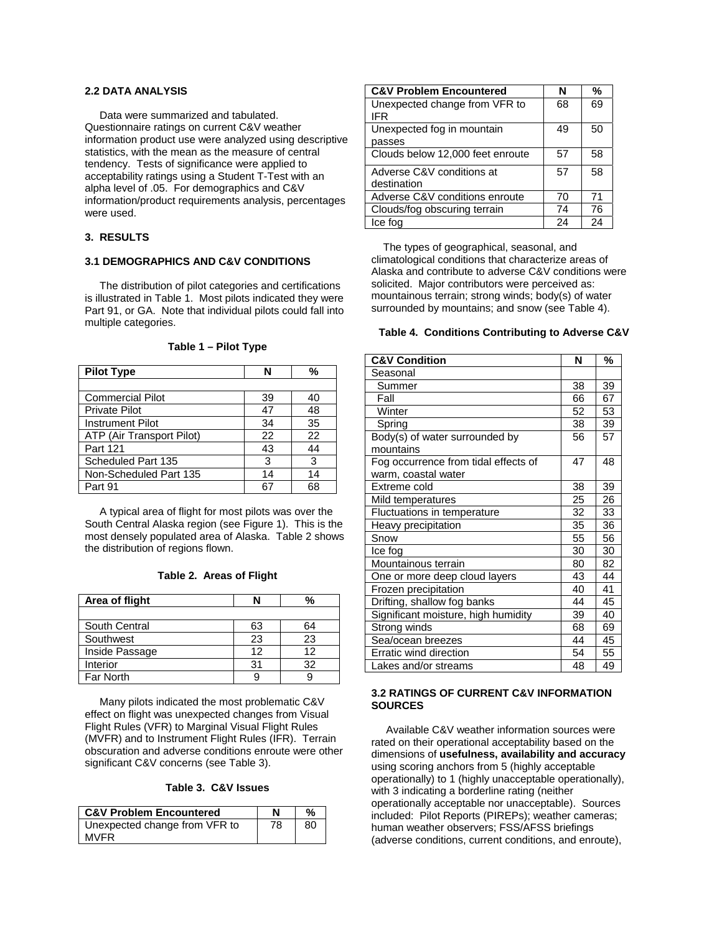# **2.2 DATA ANALYSIS**

 Data were summarized and tabulated. Questionnaire ratings on current C&V weather information product use were analyzed using descriptive statistics, with the mean as the measure of central tendency. Tests of significance were applied to acceptability ratings using a Student T-Test with an alpha level of .05. For demographics and C&V information/product requirements analysis, percentages were used.

# **3. RESULTS**

### **3.1 DEMOGRAPHICS AND C&V CONDITIONS**

 The distribution of pilot categories and certifications is illustrated in Table 1. Most pilots indicated they were Part 91, or GA. Note that individual pilots could fall into multiple categories.

| <b>Pilot Type</b>         | N              | %  |
|---------------------------|----------------|----|
|                           |                |    |
| <b>Commercial Pilot</b>   | 39             | 40 |
| <b>Private Pilot</b>      | 47             | 48 |
| <b>Instrument Pilot</b>   | 34             | 35 |
| ATP (Air Transport Pilot) | 22             | 22 |
| Part 121                  | 43             | 44 |
| Scheduled Part 135        | 3              | 3  |
| Non-Scheduled Part 135    | 14             | 14 |
| Part 91                   | 6 <sup>2</sup> | 68 |

**Table 1 – Pilot Type** 

 A typical area of flight for most pilots was over the South Central Alaska region (see Figure 1). This is the most densely populated area of Alaska. Table 2 shows the distribution of regions flown.

### **Table 2. Areas of Flight**

| Area of flight   |    |    |
|------------------|----|----|
|                  |    |    |
| South Central    | 63 | 64 |
| Southwest        | 23 | 23 |
| Inside Passage   | 12 | 12 |
| Interior         | 31 | 32 |
| <b>Far North</b> |    |    |

 Many pilots indicated the most problematic C&V effect on flight was unexpected changes from Visual Flight Rules (VFR) to Marginal Visual Flight Rules (MVFR) and to Instrument Flight Rules (IFR). Terrain obscuration and adverse conditions enroute were other significant C&V concerns (see Table 3).

#### **Table 3. C&V Issues**

| <b>C&amp;V Problem Encountered</b>           |    | %  |
|----------------------------------------------|----|----|
| Unexpected change from VFR to<br><b>MVFR</b> | 78 | 80 |

| <b>C&amp;V Problem Encountered</b> | N  | %  |
|------------------------------------|----|----|
| Unexpected change from VFR to      | 68 | 69 |
| <b>IFR</b>                         |    |    |
| Unexpected fog in mountain         | 49 | 50 |
| passes                             |    |    |
| Clouds below 12,000 feet enroute   | 57 | 58 |
| Adverse C&V conditions at          | 57 | 58 |
| destination                        |    |    |
| Adverse C&V conditions enroute     | 70 | 71 |
| Clouds/fog obscuring terrain       | 74 | 76 |
| Ice fog                            | 24 | 24 |

 The types of geographical, seasonal, and climatological conditions that characterize areas of Alaska and contribute to adverse C&V conditions were solicited. Major contributors were perceived as: mountainous terrain; strong winds; body(s) of water surrounded by mountains; and snow (see Table 4).

#### **Table 4. Conditions Contributing to Adverse C&V**

| <b>C&amp;V Condition</b>             | N  | %  |
|--------------------------------------|----|----|
| Seasonal                             |    |    |
| Summer                               | 38 | 39 |
| Fall                                 | 66 | 67 |
| Winter                               | 52 | 53 |
| Spring                               | 38 | 39 |
| Body(s) of water surrounded by       | 56 | 57 |
| mountains                            |    |    |
| Fog occurrence from tidal effects of | 47 | 48 |
| warm, coastal water                  |    |    |
| Extreme cold                         | 38 | 39 |
| Mild temperatures                    | 25 | 26 |
| Fluctuations in temperature          | 32 | 33 |
| Heavy precipitation                  | 35 | 36 |
| Snow                                 | 55 | 56 |
| Ice fog                              | 30 | 30 |
| Mountainous terrain                  | 80 | 82 |
| One or more deep cloud layers        | 43 | 44 |
| Frozen precipitation                 | 40 | 41 |
| Drifting, shallow fog banks          | 44 | 45 |
| Significant moisture, high humidity  | 39 | 40 |
| Strong winds                         | 68 | 69 |
| Sea/ocean breezes                    | 44 | 45 |
| Erratic wind direction               | 54 | 55 |
| Lakes and/or streams                 | 48 | 49 |

## **3.2 RATINGS OF CURRENT C&V INFORMATION SOURCES**

 Available C&V weather information sources were rated on their operational acceptability based on the dimensions of **usefulness, availability and accuracy** using scoring anchors from 5 (highly acceptable operationally) to 1 (highly unacceptable operationally), with 3 indicating a borderline rating (neither operationally acceptable nor unacceptable). Sources included: Pilot Reports (PIREPs); weather cameras; human weather observers; FSS/AFSS briefings (adverse conditions, current conditions, and enroute),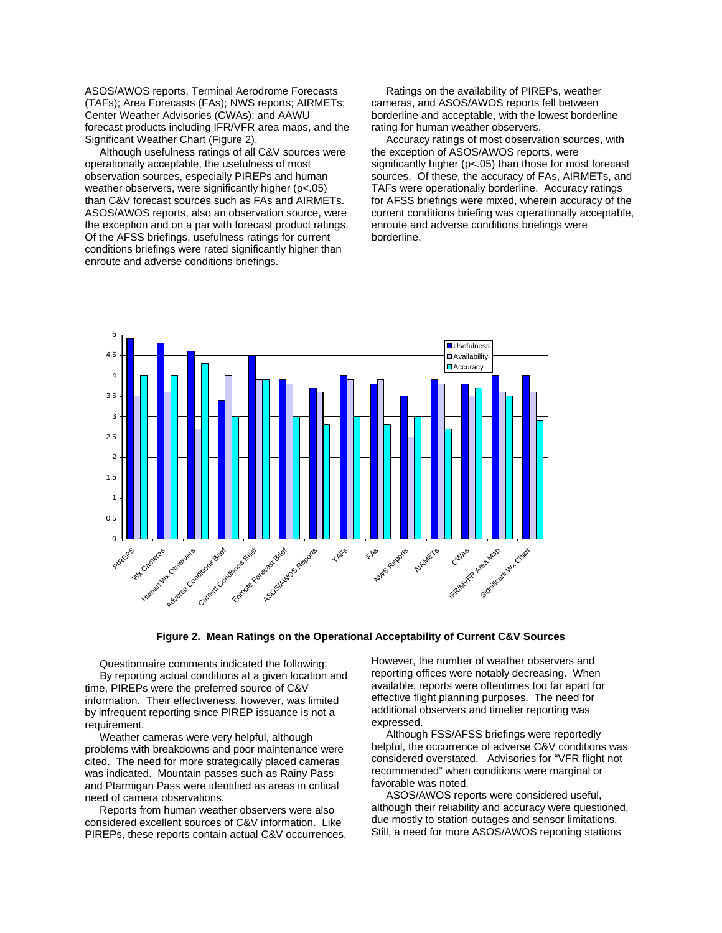ASOS/AWOS reports, Terminal Aerodrome Forecasts (TAFs); Area Forecasts (FAs); NWS reports; AIRMETs; Center Weather Advisories (CWAs); and AAWU forecast products including IFR/VFR area maps, and the Significant Weather Chart (Figure 2).

 Although usefulness ratings of all C&V sources were operationally acceptable, the usefulness of most observation sources, especially PIREPs and human weather observers, were significantly higher (p<.05) than C&V forecast sources such as FAs and AIRMETs. ASOS/AWOS reports, also an observation source, were the exception and on a par with forecast product ratings. Of the AFSS briefings, usefulness ratings for current conditions briefings were rated significantly higher than enroute and adverse conditions briefings.

 Ratings on the availability of PIREPs, weather cameras, and ASOS/AWOS reports fell between borderline and acceptable, with the lowest borderline rating for human weather observers.

 Accuracy ratings of most observation sources, with the exception of ASOS/AWOS reports, were significantly higher (p<.05) than those for most forecast sources. Of these, the accuracy of FAs, AIRMETs, and TAFs were operationally borderline. Accuracy ratings for AFSS briefings were mixed, wherein accuracy of the current conditions briefing was operationally acceptable, enroute and adverse conditions briefings were borderline.



**Figure 2. Mean Ratings on the Operational Acceptability of Current C&V Sources** 

Questionnaire comments indicated the following: By reporting actual conditions at a given location and information. Their effectiveness, however, was limited time, PIREPs were the preferred source of C&V by infrequent reporting since PIREP issuance is not a requirement.

Weather cameras were very helpful, although problems with breakdowns and poor maintenance were cited. The need for more strategically placed cameras was indicated. Mountain passes such as Rainy Pass and Ptarmigan Pass were identified as areas in critical need of camera observations.

Reports from human weather observers were also considered excellent sources of C&V information. Like PIREPs, these reports contain actual C&V occurrences.

effective flight planning purposes. The need for However, the number of weather observers and reporting offices were notably decreasing. When available, reports were oftentimes too far apart for additional observers and timelier reporting was expressed.

helpful, the occurrence of adverse C&V conditions was considered overstated. Advisories for "VFR flight not recommended" when conditions were marginal or Although FSS/AFSS briefings were reportedly favorable was noted.

due mostly to station outages and sensor limitations. Still, a need for more ASOS/AWOS reporting stations ASOS/AWOS reports were considered useful, although their reliability and accuracy were questioned,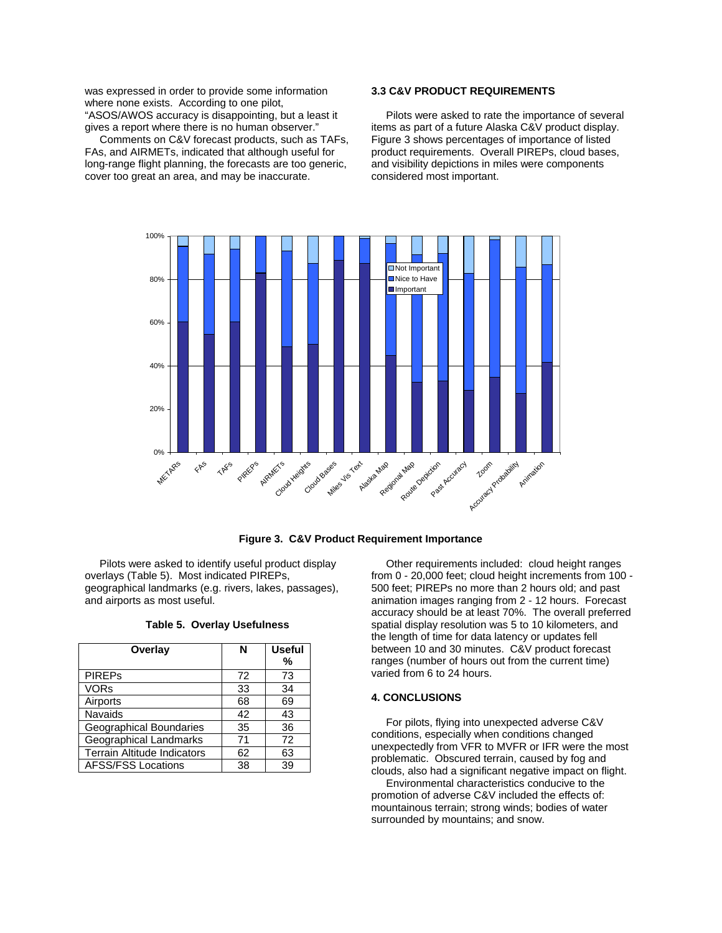was expressed in order to provide some informatio n where none exists. According to one pilot, "ASOS/AWOS accuracy is disappointing, but a least it gives a report where there is no human observer."

 Comments on C&V forecast products, such as TA Fs, FAs, and AIRMETs, indicated that although useful for long-range flight planning, the forecasts are too generic , cover too great an area, and may be inaccurate.

# **3.3 C&V PRODUCT REQUIREMENTS**

Pilots were asked to rate the importance of several items as part of a future Alaska C&V product display. Figure 3 shows percentages of importance of listed product requirements. Overall PIREPs, cloud bases, and visibility depictions in miles were components considered most important.



### **Figure 3. C&V Product Requirement Importance**

Pilots were asked to identify useful product display overlays (Table 5). Most indicat ed PIREPs, geographical landmarks (e.g. rivers, lakes, passages), and airports as most useful.

| Overlay                            | N  | <b>Useful</b><br>% |
|------------------------------------|----|--------------------|
| <b>PIREPs</b>                      | 72 | 73                 |
| <b>VORs</b>                        | 33 | 34                 |
| Airports                           | 68 | 69                 |
| <b>Navaids</b>                     | 42 | 43                 |
| Geographical Boundaries            | 35 | 36                 |
| Geographical Landmarks             | 71 | 72                 |
| <b>Terrain Altitude Indicators</b> | 62 | 63                 |
| <b>AFSS/FSS Locations</b>          | 38 | 39                 |

**Table 5. Overlay Usefulness** 

 Other requirements included: cloud height ranges from 0 - 20,000 feet; cloud height increments from 100 -500 feet; PIREPs no more than 2 hours old; and past animation images ranging from 2 - 12 hours. Forecast accuracy should be at least 70%. The overall preferred spatial display resolution was 5 to 10 kilometers, and the length of time for data latency or updates fell between 10 and 30 minutes. C&V product forecast ranges (number of hours out from the current time) varied from 6 to 24 hours.

## **4. CONCLUSIONS**

unexpectedly from VFR to MVFR or IFR were the most problematic. Obscured terrain, caused by fog and clouds, also had a significant negative impact on flight. For pilots, flying into unexpected adverse C&V conditions, especially when conditions changed

Environmental characteristics conducive to the promotion of adverse C&V included the effects of: mountainous terrain; strong winds; bodies of water surrounded by mountains; and snow.